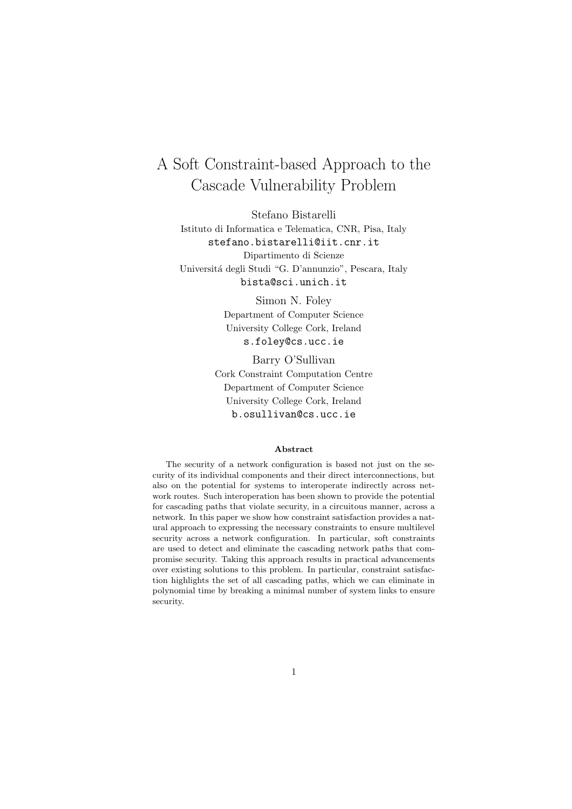# A Soft Constraint-based Approach to the Cascade Vulnerability Problem

Stefano Bistarelli Istituto di Informatica e Telematica, CNR, Pisa, Italy stefano.bistarelli@iit.cnr.it Dipartimento di Scienze Universitá degli Studi "G. D'annunzio", Pescara, Italy bista@sci.unich.it

> Simon N. Foley Department of Computer Science University College Cork, Ireland s.foley@cs.ucc.ie

Barry O'Sullivan Cork Constraint Computation Centre Department of Computer Science University College Cork, Ireland b.osullivan@cs.ucc.ie

#### Abstract

The security of a network configuration is based not just on the security of its individual components and their direct interconnections, but also on the potential for systems to interoperate indirectly across network routes. Such interoperation has been shown to provide the potential for cascading paths that violate security, in a circuitous manner, across a network. In this paper we show how constraint satisfaction provides a natural approach to expressing the necessary constraints to ensure multilevel security across a network configuration. In particular, soft constraints are used to detect and eliminate the cascading network paths that compromise security. Taking this approach results in practical advancements over existing solutions to this problem. In particular, constraint satisfaction highlights the set of all cascading paths, which we can eliminate in polynomial time by breaking a minimal number of system links to ensure security.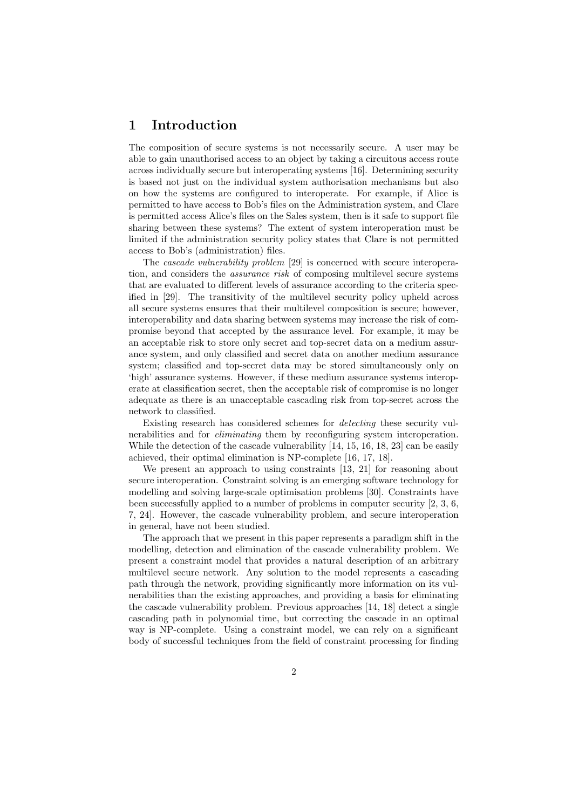# 1 Introduction

The composition of secure systems is not necessarily secure. A user may be able to gain unauthorised access to an object by taking a circuitous access route across individually secure but interoperating systems [16]. Determining security is based not just on the individual system authorisation mechanisms but also on how the systems are configured to interoperate. For example, if Alice is permitted to have access to Bob's files on the Administration system, and Clare is permitted access Alice's files on the Sales system, then is it safe to support file sharing between these systems? The extent of system interoperation must be limited if the administration security policy states that Clare is not permitted access to Bob's (administration) files.

The cascade vulnerability problem [29] is concerned with secure interoperation, and considers the assurance risk of composing multilevel secure systems that are evaluated to different levels of assurance according to the criteria specified in [29]. The transitivity of the multilevel security policy upheld across all secure systems ensures that their multilevel composition is secure; however, interoperability and data sharing between systems may increase the risk of compromise beyond that accepted by the assurance level. For example, it may be an acceptable risk to store only secret and top-secret data on a medium assurance system, and only classified and secret data on another medium assurance system; classified and top-secret data may be stored simultaneously only on 'high' assurance systems. However, if these medium assurance systems interoperate at classification secret, then the acceptable risk of compromise is no longer adequate as there is an unacceptable cascading risk from top-secret across the network to classified.

Existing research has considered schemes for detecting these security vulnerabilities and for eliminating them by reconfiguring system interoperation. While the detection of the cascade vulnerability [14, 15, 16, 18, 23] can be easily achieved, their optimal elimination is NP-complete [16, 17, 18].

We present an approach to using constraints [13, 21] for reasoning about secure interoperation. Constraint solving is an emerging software technology for modelling and solving large-scale optimisation problems [30]. Constraints have been successfully applied to a number of problems in computer security [2, 3, 6, 7, 24]. However, the cascade vulnerability problem, and secure interoperation in general, have not been studied.

The approach that we present in this paper represents a paradigm shift in the modelling, detection and elimination of the cascade vulnerability problem. We present a constraint model that provides a natural description of an arbitrary multilevel secure network. Any solution to the model represents a cascading path through the network, providing significantly more information on its vulnerabilities than the existing approaches, and providing a basis for eliminating the cascade vulnerability problem. Previous approaches [14, 18] detect a single cascading path in polynomial time, but correcting the cascade in an optimal way is NP-complete. Using a constraint model, we can rely on a significant body of successful techniques from the field of constraint processing for finding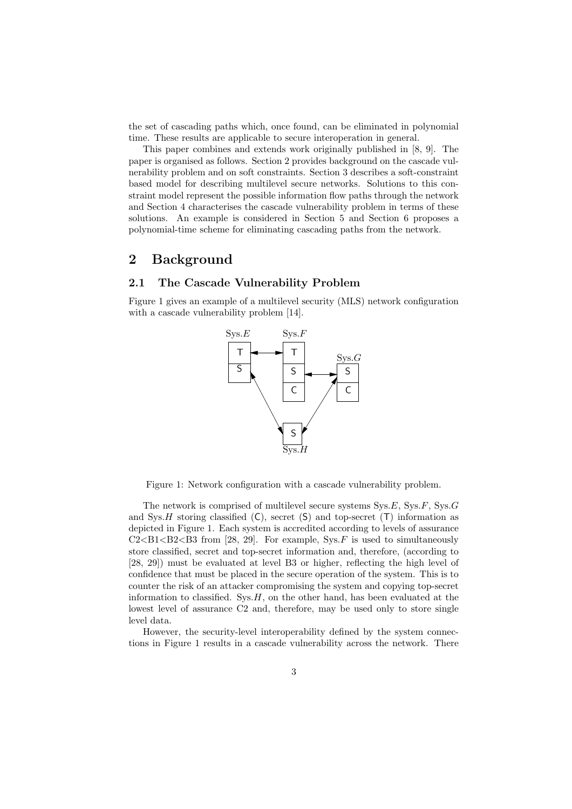the set of cascading paths which, once found, can be eliminated in polynomial time. These results are applicable to secure interoperation in general.

This paper combines and extends work originally published in [8, 9]. The paper is organised as follows. Section 2 provides background on the cascade vulnerability problem and on soft constraints. Section 3 describes a soft-constraint based model for describing multilevel secure networks. Solutions to this constraint model represent the possible information flow paths through the network and Section 4 characterises the cascade vulnerability problem in terms of these solutions. An example is considered in Section 5 and Section 6 proposes a polynomial-time scheme for eliminating cascading paths from the network.

# 2 Background

### 2.1 The Cascade Vulnerability Problem

Figure 1 gives an example of a multilevel security (MLS) network configuration with a cascade vulnerability problem [14].



Figure 1: Network configuration with a cascade vulnerability problem.

The network is comprised of multilevel secure systems Sys.E, Sys.F, Sys.G and Sys. H storing classified  $(C)$ , secret  $(S)$  and top-secret  $(T)$  information as depicted in Figure 1. Each system is accredited according to levels of assurance  $C2 < B1 < B2 < B3$  from [28, 29]. For example, Sys.F is used to simultaneously store classified, secret and top-secret information and, therefore, (according to [28, 29]) must be evaluated at level B3 or higher, reflecting the high level of confidence that must be placed in the secure operation of the system. This is to counter the risk of an attacker compromising the system and copying top-secret information to classified. Sys. $H$ , on the other hand, has been evaluated at the lowest level of assurance C2 and, therefore, may be used only to store single level data.

However, the security-level interoperability defined by the system connections in Figure 1 results in a cascade vulnerability across the network. There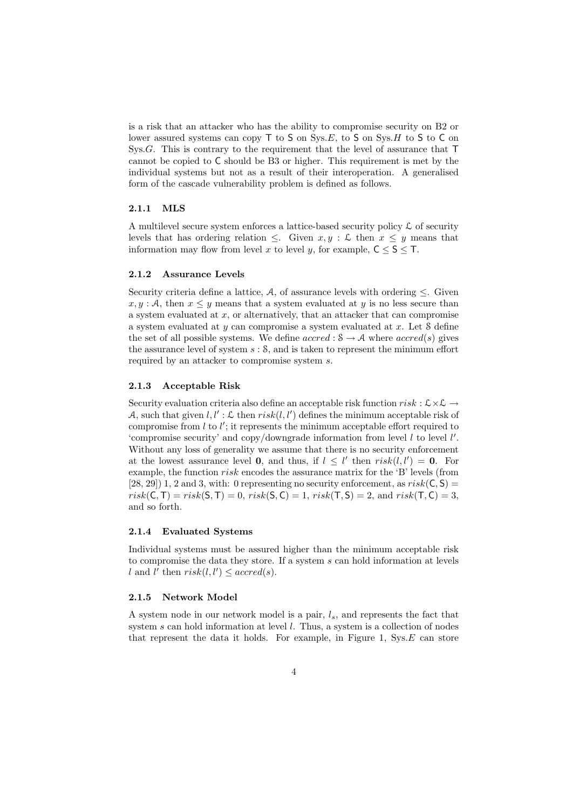is a risk that an attacker who has the ability to compromise security on B2 or lower assured systems can copy  $\mathsf T$  to  $\mathsf S$  on  $\mathsf{Sys}.E$ , to  $\mathsf S$  on  $\mathsf{Sys}.H$  to  $\mathsf S$  to  $\mathsf C$  on Sys.G. This is contrary to the requirement that the level of assurance that  $\mathsf T$ cannot be copied to C should be B3 or higher. This requirement is met by the individual systems but not as a result of their interoperation. A generalised form of the cascade vulnerability problem is defined as follows.

### 2.1.1 MLS

A multilevel secure system enforces a lattice-based security policy  $\mathcal L$  of security levels that has ordering relation  $\leq$ . Given  $x, y : \mathcal{L}$  then  $x \leq y$  means that information may flow from level x to level y, for example,  $C \leq S \leq T$ .

#### 2.1.2 Assurance Levels

Security criteria define a lattice, A, of assurance levels with ordering  $\leq$ . Given  $x, y : A$ , then  $x \leq y$  means that a system evaluated at y is no less secure than a system evaluated at  $x$ , or alternatively, that an attacker that can compromise a system evaluated at  $y$  can compromise a system evaluated at  $x$ . Let  $S$  define the set of all possible systems. We define  $\mathit{accred} : \mathcal{S} \to \mathcal{A}$  where  $\mathit{accred}(s)$  gives the assurance level of system  $s : S$ , and is taken to represent the minimum effort required by an attacker to compromise system s.

#### 2.1.3 Acceptable Risk

Security evaluation criteria also define an acceptable risk function  $risk: \mathcal{L} \times \mathcal{L} \rightarrow$ A, such that given  $l, l' : \mathcal{L}$  then  $risk(l, l')$  defines the minimum acceptable risk of compromise from  $l$  to  $l'$ ; it represents the minimum acceptable effort required to 'compromise security' and copy/downgrade information from level  $l$  to level  $l'$ . Without any loss of generality we assume that there is no security enforcement at the lowest assurance level **0**, and thus, if  $l \leq l'$  then  $risk(l, l') = 0$ . For example, the function  $risk$  encodes the assurance matrix for the 'B' levels (from [28, 29]) 1, 2 and 3, with: 0 representing no security enforcement, as  $risk(\mathsf{C}, \mathsf{S}) =$  $risk(C, T) = risk(S, T) = 0, risk(S, C) = 1, risk(T, S) = 2, and risk(T, C) = 3,$ and so forth.

#### 2.1.4 Evaluated Systems

Individual systems must be assured higher than the minimum acceptable risk to compromise the data they store. If a system s can hold information at levels l and l' then  $risk(l, l') \leq accred(s)$ .

### 2.1.5 Network Model

A system node in our network model is a pair,  $l_s$ , and represents the fact that system s can hold information at level l. Thus, a system is a collection of nodes that represent the data it holds. For example, in Figure 1,  $Sys.E$  can store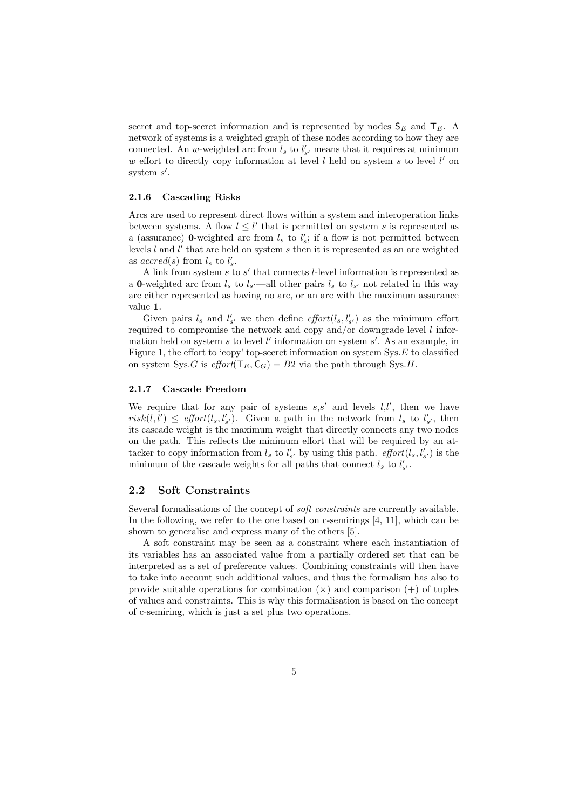secret and top-secret information and is represented by nodes  $\mathsf{S}_E$  and  $\mathsf{T}_E$ . A network of systems is a weighted graph of these nodes according to how they are connected. An w-weighted arc from  $l_s$  to  $l'_{s'}$  means that it requires at minimum  $w$  effort to directly copy information at level  $l$  held on system  $s$  to level  $l'$  on system  $s'$ .

#### 2.1.6 Cascading Risks

Arcs are used to represent direct flows within a system and interoperation links between systems. A flow  $l \leq l'$  that is permitted on system s is represented as a (assurance) **0**-weighted arc from  $l_s$  to  $l'_s$ ; if a flow is not permitted between levels  $l$  and  $l'$  that are held on system  $s$  then it is represented as an arc weighted as  $\mathit{accred}(s)$  from  $l_s$  to  $l'_s$ .

A link from system  $s$  to  $s'$  that connects *l*-level information is represented as a **0**-weighted arc from  $l_s$  to  $l_{s'}$  —all other pairs  $l_s$  to  $l_{s'}$  not related in this way are either represented as having no arc, or an arc with the maximum assurance value 1.

Given pairs  $l_s$  and  $l'_{s'}$  we then define  $\text{effort}(l_s, l'_{s'})$  as the minimum effort required to compromise the network and copy and/or downgrade level  $l$  information held on system  $s$  to level  $l'$  information on system  $s'$ . As an example, in Figure 1, the effort to 'copy' top-secret information on system Sys.E to classified on system Sys.G is  $effort(\mathsf{T}_E, \mathsf{C}_G) = B2$  via the path through Sys.H.

#### 2.1.7 Cascade Freedom

We require that for any pair of systems  $s,s'$  and levels  $l,l'$ , then we have  $risk(l, l') \le \text{effort}(l_s, l'_{s'})$ . Given a path in the network from  $l_s$  to  $l'_{s'}$ , then its cascade weight is the maximum weight that directly connects any two nodes on the path. This reflects the minimum effort that will be required by an attacker to copy information from  $l_s$  to  $l'_{s'}$  by using this path.  $\text{effort}(l_s, l'_{s'})$  is the minimum of the cascade weights for all paths that connect  $l_s$  to  $l'_{s'}$ .

### 2.2 Soft Constraints

Several formalisations of the concept of soft constraints are currently available. In the following, we refer to the one based on c-semirings [4, 11], which can be shown to generalise and express many of the others [5].

A soft constraint may be seen as a constraint where each instantiation of its variables has an associated value from a partially ordered set that can be interpreted as a set of preference values. Combining constraints will then have to take into account such additional values, and thus the formalism has also to provide suitable operations for combination  $(x)$  and comparison  $(+)$  of tuples of values and constraints. This is why this formalisation is based on the concept of c-semiring, which is just a set plus two operations.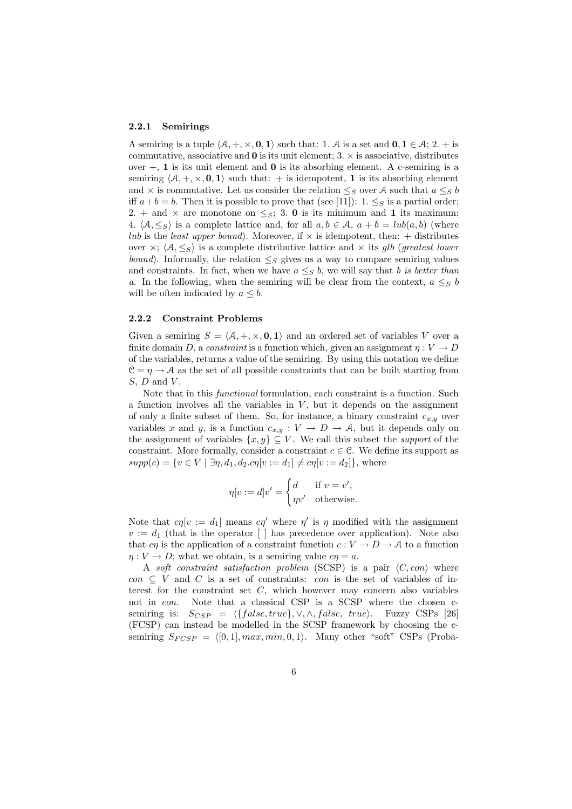#### 2.2.1 Semirings

A semiring is a tuple  $\langle A, +, \times, 0, 1 \rangle$  such that: 1. A is a set and  $0, 1 \in \mathcal{A}$ ; 2. + is commutative, associative and  $\bf{0}$  is its unit element; 3.  $\times$  is associative, distributes over  $+$ , 1 is its unit element and 0 is its absorbing element. A c-semiring is a semiring  $\langle A, +, \times, \mathbf{0}, \mathbf{1} \rangle$  such that: + is idempotent, 1 is its absorbing element and  $\times$  is commutative. Let us consider the relation  $\leq_S$  over A such that  $a \leq_S b$ iff  $a + b = b$ . Then it is possible to prove that (see [11]): 1.  $\leq_S$  is a partial order; 2. + and  $\times$  are monotone on  $\leq_S$ ; 3. 0 is its minimum and 1 its maximum; 4.  $\langle A, \leq_S \rangle$  is a complete lattice and, for all  $a, b \in A$ ,  $a + b = lub(a, b)$  (where *lub* is the *least upper bound*). Moreover, if  $\times$  is idempotent, then: + distributes over  $\times$ ;  $\langle A, \leq_S \rangle$  is a complete distributive lattice and  $\times$  its glb (greatest lower *bound*). Informally, the relation  $\leq_S$  gives us a way to compare semiring values and constraints. In fact, when we have  $a \leq_S b$ , we will say that b is better than a. In the following, when the semiring will be clear from the context,  $a \leq_S b$ will be often indicated by  $a \leq b$ .

#### 2.2.2 Constraint Problems

Given a semiring  $S = \langle A, +, \times, \mathbf{0}, \mathbf{1} \rangle$  and an ordered set of variables V over a finite domain D, a constraint is a function which, given an assignment  $\eta: V \to D$ of the variables, returns a value of the semiring. By using this notation we define  $C = \eta \rightarrow A$  as the set of all possible constraints that can be built starting from  $S, D$  and  $V$ .

Note that in this functional formulation, each constraint is a function. Such a function involves all the variables in  $V$ , but it depends on the assignment of only a finite subset of them. So, for instance, a binary constraint  $c_{x,y}$  over variables x and y, is a function  $c_{x,y}: V \to D \to \mathcal{A}$ , but it depends only on the assignment of variables  $\{x, y\} \subseteq V$ . We call this subset the *support* of the constraint. More formally, consider a constraint  $c \in \mathcal{C}$ . We define its support as  $supp(c) = \{v \in V \mid \exists \eta, d_1, d_2.c\eta [v := d_1] \neq c\eta [v := d_2]\},\$  where

$$
\eta[v := d]v' = \begin{cases} d & \text{if } v = v', \\ \eta v' & \text{otherwise.} \end{cases}
$$

Note that  $c\eta[v := d_1]$  means  $c\eta'$  where  $\eta'$  is  $\eta$  modified with the assignment  $v := d_1$  (that is the operator | | has precedence over application). Note also that c $\eta$  is the application of a constraint function  $c: V \to D \to \mathcal{A}$  to a function  $\eta: V \to D$ ; what we obtain, is a semiring value  $c\eta = a$ .

A soft constraint satisfaction problem (SCSP) is a pair  $\langle C, con \rangle$  where con  $\subseteq$  V and C is a set of constraints: con is the set of variables of interest for the constraint set  $C$ , which however may concern also variables not in con. Note that a classical CSP is a SCSP where the chosen csemiring is:  $S_{CSP} = \langle \{false, true\}, \vee, \wedge, false, true \rangle$ . Fuzzy CSPs [26] (FCSP) can instead be modelled in the SCSP framework by choosing the csemiring  $S_{FCSP} = \langle [0, 1], \max, \min, 0, 1 \rangle$ . Many other "soft" CSPs (Proba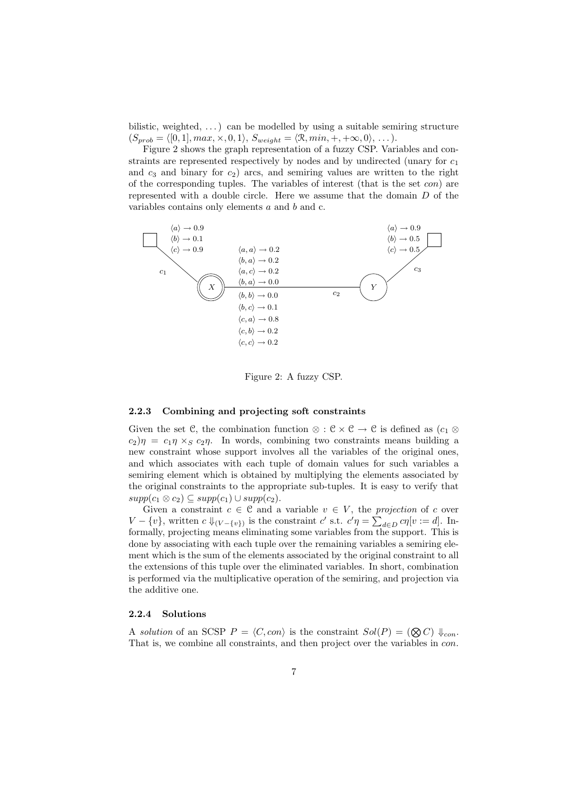bilistic, weighted,  $\dots$ ) can be modelled by using a suitable semiring structure  $(S_{prob} = \langle [0, 1], max, \times, 0, 1 \rangle, S_{weight} = \langle \mathcal{R}, min, +, +\infty, 0 \rangle, \dots).$ 

Figure 2 shows the graph representation of a fuzzy CSP. Variables and constraints are represented respectively by nodes and by undirected (unary for  $c_1$ ) and  $c_3$  and binary for  $c_2$ ) arcs, and semiring values are written to the right of the corresponding tuples. The variables of interest (that is the set con) are represented with a double circle. Here we assume that the domain D of the variables contains only elements  $a$  and  $b$  and  $c$ .



Figure 2: A fuzzy CSP.

#### 2.2.3 Combining and projecting soft constraints

Given the set C, the combination function  $\otimes$  : C × C → C is defined as  $(c_1 \otimes$  $c_2$ ) $\eta = c_1 \eta \times_S c_2 \eta$ . In words, combining two constraints means building a new constraint whose support involves all the variables of the original ones, and which associates with each tuple of domain values for such variables a semiring element which is obtained by multiplying the elements associated by the original constraints to the appropriate sub-tuples. It is easy to verify that  $supp(c_1 \otimes c_2) \subseteq supp(c_1) \cup supp(c_2).$ 

Given a constraint  $c \in \mathcal{C}$  and a variable  $v \in V$ , the projection of c over  $V - \{v\}$ , written  $c \Downarrow_{(V - \{v\})}$  is the constraint  $c'$  s.t.  $c'\eta = \sum_{d \in D} c\eta[v := d]$ . Informally, projecting means eliminating some variables from the support. This is done by associating with each tuple over the remaining variables a semiring element which is the sum of the elements associated by the original constraint to all the extensions of this tuple over the eliminated variables. In short, combination is performed via the multiplicative operation of the semiring, and projection via the additive one.

#### 2.2.4 Solutions

A solution of an SCSP  $P = \langle C, con \rangle$  is the constraint  $Sol(P) = (\bigotimes C) \Downarrow_{con}$ . That is, we combine all constraints, and then project over the variables in con.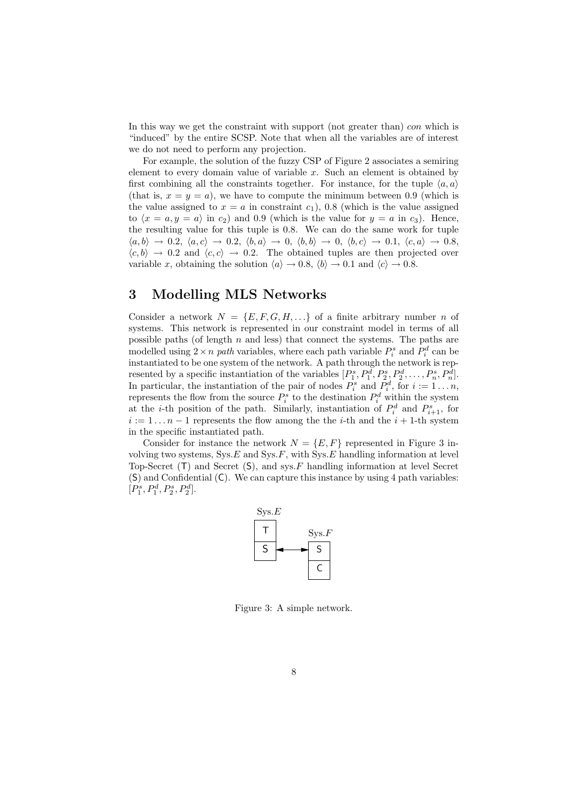In this way we get the constraint with support (not greater than) con which is "induced" by the entire SCSP. Note that when all the variables are of interest we do not need to perform any projection.

For example, the solution of the fuzzy CSP of Figure 2 associates a semiring element to every domain value of variable  $x$ . Such an element is obtained by first combining all the constraints together. For instance, for the tuple  $\langle a, a \rangle$ (that is,  $x = y = a$ ), we have to compute the minimum between 0.9 (which is the value assigned to  $x = a$  in constraint  $c_1$ ), 0.8 (which is the value assigned to  $\langle x = a, y = a \rangle$  in  $c_2$ ) and 0.9 (which is the value for  $y = a$  in  $c_3$ ). Hence, the resulting value for this tuple is 0.8. We can do the same work for tuple  $\langle a, b \rangle \rightarrow 0.2, \langle a, c \rangle \rightarrow 0.2, \langle b, a \rangle \rightarrow 0, \langle b, b \rangle \rightarrow 0, \langle b, c \rangle \rightarrow 0.1, \langle c, a \rangle \rightarrow 0.8,$  $\langle c, b \rangle \rightarrow 0.2$  and  $\langle c, c \rangle \rightarrow 0.2$ . The obtained tuples are then projected over variable x, obtaining the solution  $\langle a \rangle \rightarrow 0.8$ ,  $\langle b \rangle \rightarrow 0.1$  and  $\langle c \rangle \rightarrow 0.8$ .

# 3 Modelling MLS Networks

Consider a network  $N = \{E, F, G, H, \ldots\}$  of a finite arbitrary number n of systems. This network is represented in our constraint model in terms of all possible paths (of length  $n$  and less) that connect the systems. The paths are modelled using  $2 \times n$  path variables, where each path variable  $P_i^s$  and  $P_i^d$  can be instantiated to be one system of the network. A path through the network is represented by a specific instantiation of the variables  $[P_1^s, P_1^d, P_2^s, P_2^d, \ldots, P_n^s, P_n^d]$ . In particular, the instantiation of the pair of nodes  $P_i^s$  and  $P_i^d$ , for  $i := 1 \dots n$ , represents the flow from the source  $P_i^s$  to the destination  $P_i^d$  within the system at the *i*-th position of the path. Similarly, instantiation of  $P_i^d$  and  $P_{i+1}^s$ , for  $i := 1 \dots n-1$  represents the flow among the the *i*-th and the  $i + 1$ -th system in the specific instantiated path.

Consider for instance the network  $N = \{E, F\}$  represented in Figure 3 involving two systems,  $Sys. E$  and  $Sys. F$ , with  $Sys. E$  handling information at level Top-Secret  $(T)$  and Secret  $(S)$ , and sys. F handling information at level Secret (S) and Confidential (C). We can capture this instance by using 4 path variables:  $[P_1^s, P_1^d, P_2^s, P_2^d].$ 



Figure 3: A simple network.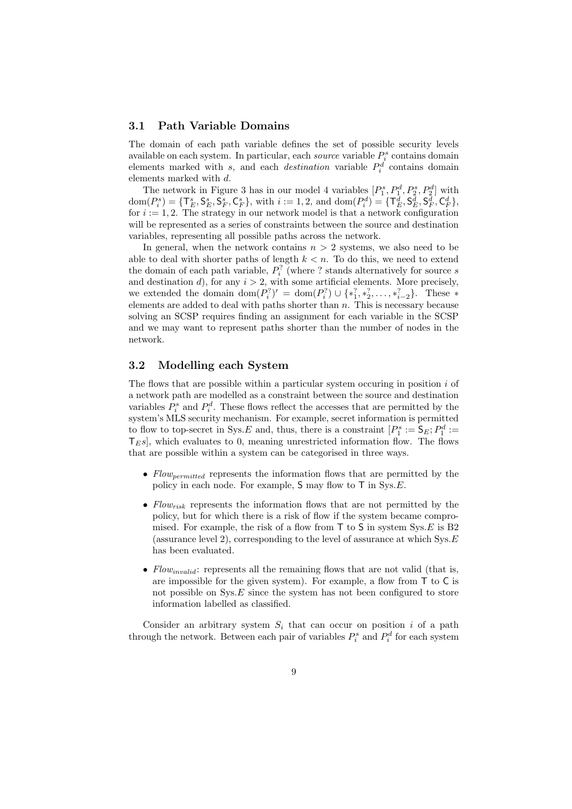### 3.1 Path Variable Domains

The domain of each path variable defines the set of possible security levels available on each system. In particular, each *source* variable  $P_i^s$  contains domain elements marked with s, and each *destination* variable  $P_i^d$  contains domain elements marked with d.

The network in Figure 3 has in our model 4 variables  $[P_1^s, P_1^d, P_2^s, P_2^d]$  with  $dom(P_i^s) = {\mathsf{T}_E^s, \mathsf{S}_E^s, \mathsf{S}_F^s, \mathsf{C}_F^s}$ , with  $i := 1, 2$ , and  $dom(P_i^d) = {\mathsf{T}_E^d, \mathsf{S}_E^d, \mathsf{S}_F^d, \mathsf{C}_F^d}$ , for  $i := 1, 2$ . The strategy in our network model is that a network configuration will be represented as a series of constraints between the source and destination variables, representing all possible paths across the network.

In general, when the network contains  $n > 2$  systems, we also need to be able to deal with shorter paths of length  $k < n$ . To do this, we need to extend the domain of each path variable,  $P_i^?$  (where ? stands alternatively for source s and destination d), for any  $i > 2$ , with some artificial elements. More precisely, we extended the domain  $\text{dom}(P_i^?)' = \text{dom}(P_i^?) \cup \{*_1^?, *_2^?, \ldots, *_i^?_{i-2}\}.$  These  $*$ elements are added to deal with paths shorter than  $n$ . This is necessary because solving an SCSP requires finding an assignment for each variable in the SCSP and we may want to represent paths shorter than the number of nodes in the network.

### 3.2 Modelling each System

The flows that are possible within a particular system occuring in position  $i$  of a network path are modelled as a constraint between the source and destination variables  $P_i^s$  and  $P_i^d$ . These flows reflect the accesses that are permitted by the system's MLS security mechanism. For example, secret information is permitted to flow to top-secret in Sys.E and, thus, there is a constraint  $[P_1^s := S_E; P_1^d :=$  $T_{ES}$ , which evaluates to 0, meaning unrestricted information flow. The flows that are possible within a system can be categorised in three ways.

- Flow permitted represents the information flows that are permitted by the policy in each node. For example,  $S$  may flow to  $T$  in  $Sys.E$ .
- $Flow_{risk}$  represents the information flows that are not permitted by the policy, but for which there is a risk of flow if the system became compromised. For example, the risk of a flow from  $\mathsf T$  to  $\mathsf S$  in system Sys. E is B2 (assurance level 2), corresponding to the level of assurance at which  $Sys. E$ has been evaluated.
- $Flow_{invalid}$ : represents all the remaining flows that are not valid (that is, are impossible for the given system). For example, a flow from  $\mathsf{T}$  to  $\mathsf{C}$  is not possible on  $Sys. E$  since the system has not been configured to store information labelled as classified.

Consider an arbitrary system  $S_i$  that can occur on position i of a path through the network. Between each pair of variables  $P_i^s$  and  $P_i^d$  for each system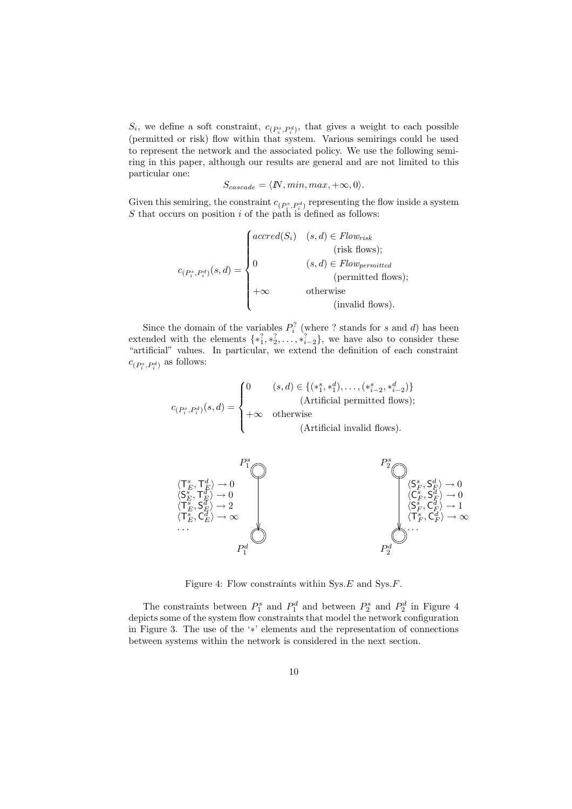$S_i$ , we define a soft constraint,  $c_{(P_i^s, P_i^d)}$ , that gives a weight to each possible (permitted or risk) flow within that system. Various semirings could be used to represent the network and the associated policy. We use the following semiring in this paper, although our results are general and are not limited to this particular one:

$$
S_{cascade} = \langle N, min, max, +\infty, 0 \rangle.
$$

Given this semiring, the constraint  $c_{(P_i^s, P_i^d)}$  representing the flow inside a system S that occurs on position  $i$  of the path is defined as follows:

$$
c_{(P_i^s, P_i^d)}(s, d) = \begin{cases} \operatorname{accred}(S_i) & (s, d) \in Flow_{risk} \\ 0 & (s, d) \in Flow_{permitted} \\ (s, d) \in Flow_{permitted} \\ +\infty & \text{otherwise} \end{cases}
$$

Since the domain of the variables  $P_i^?$  (where ? stands for s and d) has been extended with the elements  $\{*_1^2, *_2^2, \ldots, *_{i-2}^2\}$ , we have also to consider these "artificial" values. In particular, we extend the definition of each constraint  $c_{(P_i^s, P_i^d)}$  as follows:

$$
c_{(P_i^s, P_i^d)}(s, d) = \begin{cases} 0 & (s, d) \in \{(*_1^s, *_1^d), \dots, (*_{i-2}^s, *_{i-2}^d)\} \\ & \text{(Artificial permitted flows)}; \\ +\infty & \text{otherwise} \end{cases}
$$
  
(Artificial invalid flows).



Figure 4: Flow constraints within  $Sys. E$  and  $Sys. F$ .

The constraints between  $P_1^s$  and  $P_1^d$  and between  $P_2^s$  and  $P_2^d$  in Figure 4 depicts some of the system flow constraints that model the network configuration in Figure 3. The use of the '∗' elements and the representation of connections between systems within the network is considered in the next section.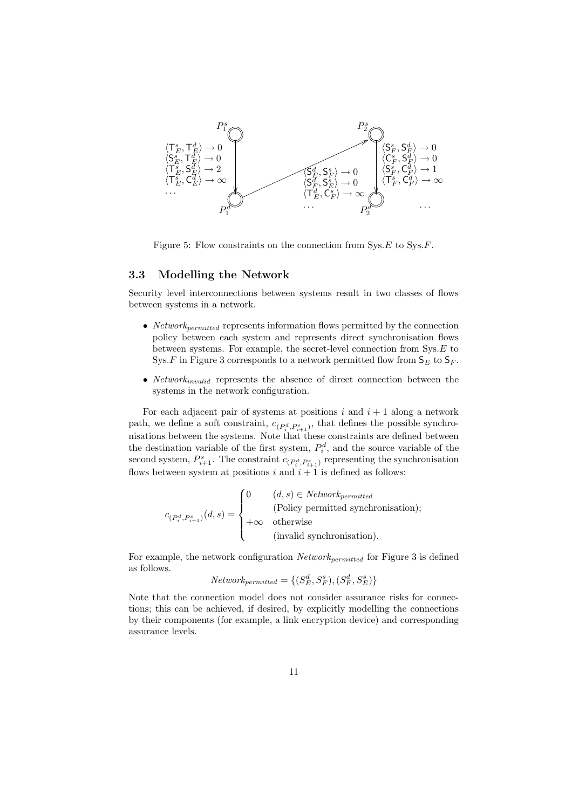

Figure 5: Flow constraints on the connection from  $Sys.E$  to  $Sys.F$ .

### 3.3 Modelling the Network

Security level interconnections between systems result in two classes of flows between systems in a network.

- Network  $permitted$  represents information flows permitted by the connection policy between each system and represents direct synchronisation flows between systems. For example, the secret-level connection from  $Sys.E$  to Sys. F in Figure 3 corresponds to a network permitted flow from  $S_E$  to  $S_F$ .
- Network<sub>invalid</sub> represents the absence of direct connection between the systems in the network configuration.

For each adjacent pair of systems at positions i and  $i + 1$  along a network path, we define a soft constraint,  $c_{(P_i^d, P_{i+1}^s)}$ , that defines the possible synchronisations between the systems. Note that these constraints are defined between the destination variable of the first system,  $P_i^d$ , and the source variable of the second system,  $P_{i+1}^s$ . The constraint  $c_{(P_i^d, P_{i+1}^s)}$  representing the synchronisation flows between system at positions i and  $i + 1$  is defined as follows:

$$
c_{(P_i^d, P_{i+1}^s)}(d, s) = \begin{cases} 0 & (d, s) \in Network_{permitted} \\ \text{(Policy permitted synchronization)}; \\ +\infty & \text{otherwise} \end{cases}
$$
  
(invald synchronization).

For example, the network configuration  $Network_{permitted}$  for Figure 3 is defined as follows.

$$
Network_{permitted} = \{(S_E^d, S_F^s), (S_F^d, S_E^s)\}
$$

Note that the connection model does not consider assurance risks for connections; this can be achieved, if desired, by explicitly modelling the connections by their components (for example, a link encryption device) and corresponding assurance levels.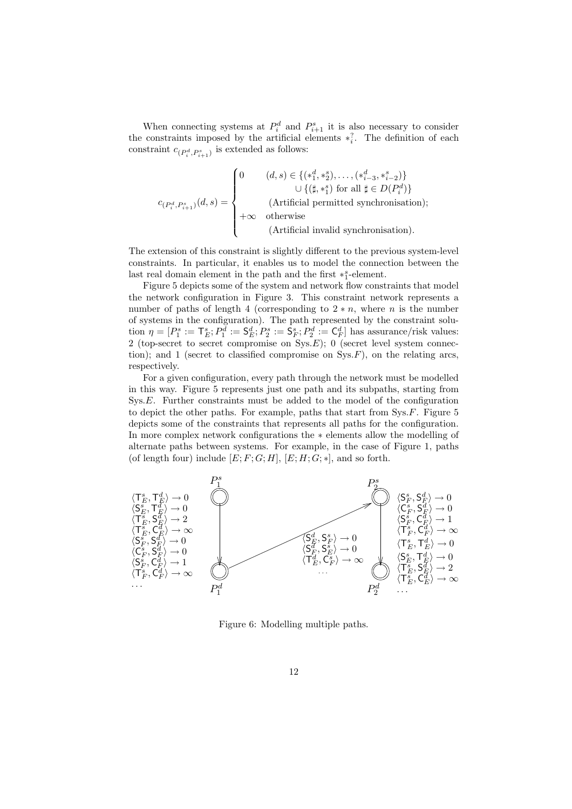When connecting systems at  $P_i^d$  and  $P_{i+1}^s$  it is also necessary to consider the constraints imposed by the artificial elements  $\ast_i^?$ . The definition of each constraint  $c_{(P_i^d, P_{i+1}^s)}$  is extended as follows:

$$
c_{(P_i^d, P_{i+1}^s)}(d, s) = \begin{cases} 0 & (d, s) \in \{(*_1^d, **_2^s), \dots, (*_{i-3}^d, **_{i-2})\} \\ & \cup \{(*, **_i^s) \text{ for all } \sharp \in D(P_i^d)\} \\ & \text{(Artificial permitted synchronization)}; \\ +\infty & \text{otherwise} \end{cases}
$$
  
(Artificial invalid synchronization).

The extension of this constraint is slightly different to the previous system-level constraints. In particular, it enables us to model the connection between the last real domain element in the path and the first  $\ast_1^s\text{-element.}$ 

Figure 5 depicts some of the system and network flow constraints that model the network configuration in Figure 3. This constraint network represents a number of paths of length 4 (corresponding to  $2 * n$ , where *n* is the number of systems in the configuration). The path represented by the constraint solution  $\eta = [P_1^s := \mathsf{T}^s_E; P_1^d := \mathsf{S}^d_E; P_2^s := \mathsf{S}^s_F; P_2^d := \mathsf{C}^d_F]$  has assurance/risk values: 2 (top-secret to secret compromise on  $Sys. E$ ); 0 (secret level system connection); and 1 (secret to classified compromise on  $Sys. F$ ), on the relating arcs, respectively.

For a given configuration, every path through the network must be modelled in this way. Figure 5 represents just one path and its subpaths, starting from Sys.E. Further constraints must be added to the model of the configuration to depict the other paths. For example, paths that start from Sys.F. Figure 5 depicts some of the constraints that represents all paths for the configuration. In more complex network configurations the ∗ elements allow the modelling of alternate paths between systems. For example, in the case of Figure 1, paths (of length four) include  $[E; F; G; H]$ ,  $[E; H; G; *]$ , and so forth.



Figure 6: Modelling multiple paths.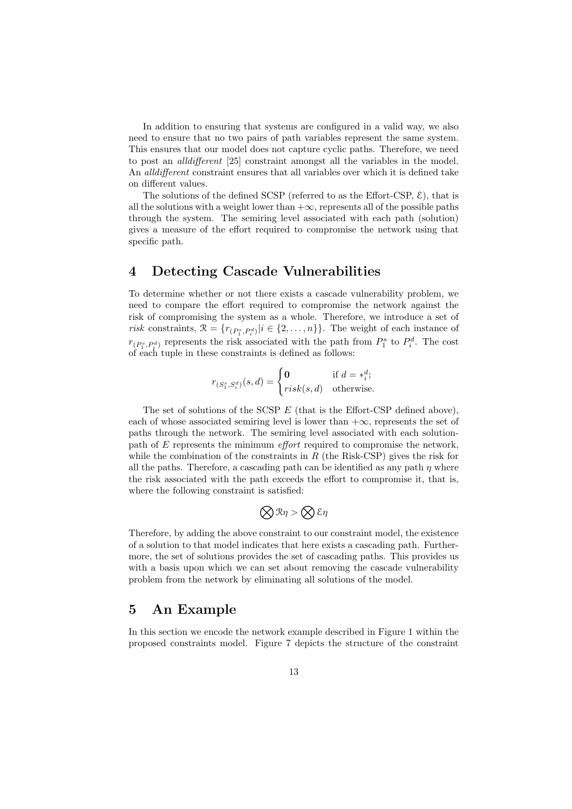In addition to ensuring that systems are configured in a valid way, we also need to ensure that no two pairs of path variables represent the same system. This ensures that our model does not capture cyclic paths. Therefore, we need to post an alldifferent [25] constraint amongst all the variables in the model. An alldifferent constraint ensures that all variables over which it is defined take on different values.

The solutions of the defined SCSP (referred to as the Effort-CSP,  $\mathcal{E}$ ), that is all the solutions with a weight lower than  $+\infty$ , represents all of the possible paths through the system. The semiring level associated with each path (solution) gives a measure of the effort required to compromise the network using that specific path.

# 4 Detecting Cascade Vulnerabilities

To determine whether or not there exists a cascade vulnerability problem, we need to compare the effort required to compromise the network against the risk of compromising the system as a whole. Therefore, we introduce a set of risk constraints,  $\mathcal{R} = \{r_{(P_1^s, P_i^d)} | i \in \{2, ..., n\}\}\.$  The weight of each instance of  $r_{(P_1^s, P_i^d)}$  represents the risk associated with the path from  $P_1^s$  to  $P_i^d$ . The cost of each tuple in these constraints is defined as follows:

$$
r_{(S_1^s, S_i^d)}(s, d) = \begin{cases} \n\mathbf{0} & \text{if } d = *_i^d; \\ \nrisk(s, d) & \text{otherwise.} \n\end{cases}
$$

The set of solutions of the SCSP  $E$  (that is the Effort-CSP defined above), each of whose associated semiring level is lower than  $+\infty$ , represents the set of paths through the network. The semiring level associated with each solutionpath of  $E$  represents the minimum *effort* required to compromise the network, while the combination of the constraints in  $R$  (the Risk-CSP) gives the risk for all the paths. Therefore, a cascading path can be identified as any path  $\eta$  where the risk associated with the path exceeds the effort to compromise it, that is, where the following constraint is satisfied:

$$
\bigotimes \mathcal{R}\eta \geq \bigotimes \mathcal{E}\eta
$$

Therefore, by adding the above constraint to our constraint model, the existence of a solution to that model indicates that here exists a cascading path. Furthermore, the set of solutions provides the set of cascading paths. This provides us with a basis upon which we can set about removing the cascade vulnerability problem from the network by eliminating all solutions of the model.

# 5 An Example

In this section we encode the network example described in Figure 1 within the proposed constraints model. Figure 7 depicts the structure of the constraint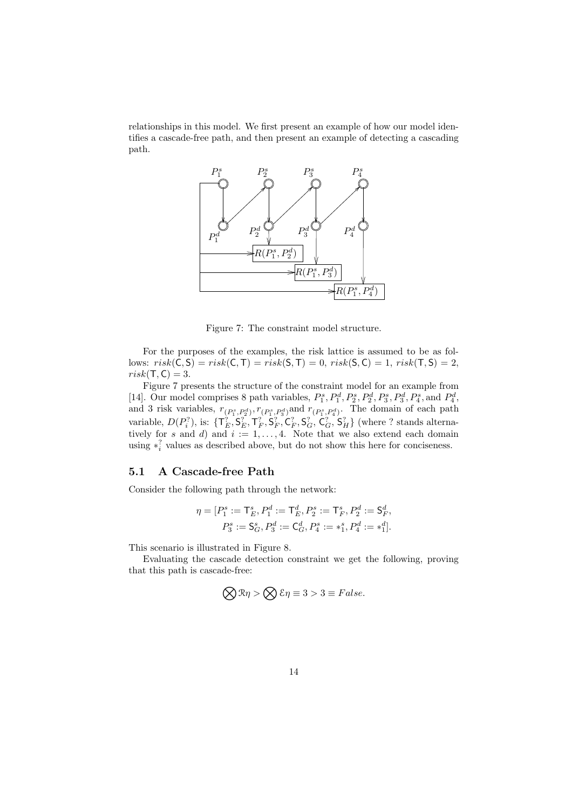relationships in this model. We first present an example of how our model identifies a cascade-free path, and then present an example of detecting a cascading path.



Figure 7: The constraint model structure.

For the purposes of the examples, the risk lattice is assumed to be as follows:  $risk(C, S) = risk(C, T) = risk(S, T) = 0, risk(S, C) = 1, risk(T, S) = 2,$  $risk(T, C) = 3.$ 

Figure 7 presents the structure of the constraint model for an example from [14]. Our model comprises 8 path variables,  $P_1^s$ ,  $P_1^d$ ,  $P_2^s$ ,  $P_2^d$ ,  $P_3^s$ ,  $P_3^d$ ,  $P_4^s$ , and  $P_4^d$ , and 3 risk variables,  $r_{(P_1^s, P_2^d)}, r_{(P_1^s, P_3^d)}$  and  $r_{(P_1^s, P_4^d)}$ . The domain of each path variable,  $D(P_i^?)$ , is:  $\{\mathsf{T}_E^?, \mathsf{S}_E^?, \mathsf{T}_F^?, \mathsf{S}_F^?, \mathsf{C}_F^?, \mathsf{S}_G^?, \mathsf{C}_G^?, \mathsf{S}_H^? \}$  (where ? stands alternatively for s and d) and  $i := 1, \ldots, 4$ . Note that we also extend each domain using  $*$ <sup>?</sup><sub>i</sub> values as described above, but do not show this here for conciseness.

### 5.1 A Cascade-free Path

Consider the following path through the network:

$$
\eta = [P_1^s := \mathsf{T}_E^s, P_1^d := \mathsf{T}_E^d, P_2^s := \mathsf{T}_F^s, P_2^d := \mathsf{S}_F^d, P_3^s := \mathsf{S}_G^s, P_3^d := \mathsf{C}_G^d, P_4^s := *_1^s, P_4^d := *_1^d].
$$

This scenario is illustrated in Figure 8.

Evaluating the cascade detection constraint we get the following, proving that this path is cascade-free:

$$
\bigotimes \mathcal{R}\eta > \bigotimes \mathcal{E}\eta \equiv 3 > 3 \equiv False.
$$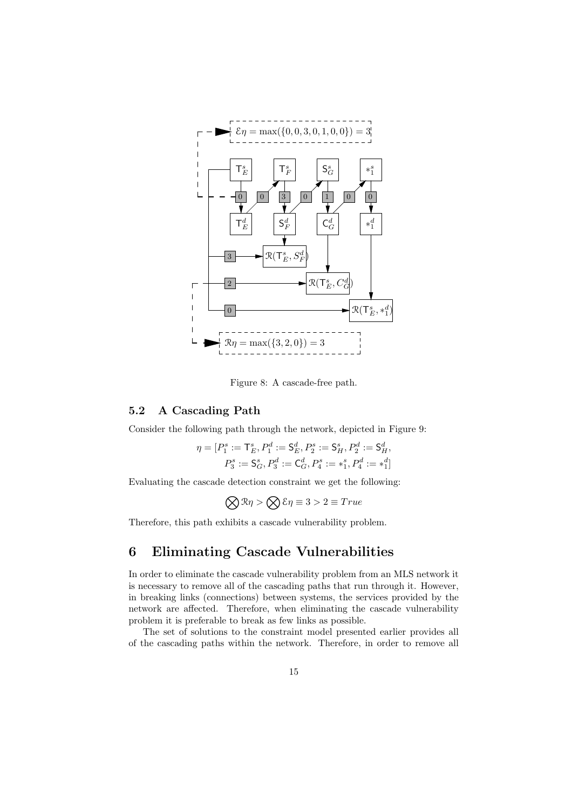

Figure 8: A cascade-free path.

### 5.2 A Cascading Path

Consider the following path through the network, depicted in Figure 9:

$$
\eta = [P_1^s := \mathsf{T}_E^s, P_1^d := \mathsf{S}_E^d, P_2^s := \mathsf{S}_H^s, P_2^d := \mathsf{S}_H^d, P_3^s := \mathsf{S}_G^s, P_3^d := \mathsf{C}_G^d, P_4^s := *_1^s, P_4^d := *_1^d]
$$

Evaluating the cascade detection constraint we get the following:

$$
\bigotimes \mathcal{R}\eta > \bigotimes \mathcal{E}\eta \equiv 3 > 2 \equiv True
$$

Therefore, this path exhibits a cascade vulnerability problem.

# 6 Eliminating Cascade Vulnerabilities

In order to eliminate the cascade vulnerability problem from an MLS network it is necessary to remove all of the cascading paths that run through it. However, in breaking links (connections) between systems, the services provided by the network are affected. Therefore, when eliminating the cascade vulnerability problem it is preferable to break as few links as possible.

The set of solutions to the constraint model presented earlier provides all of the cascading paths within the network. Therefore, in order to remove all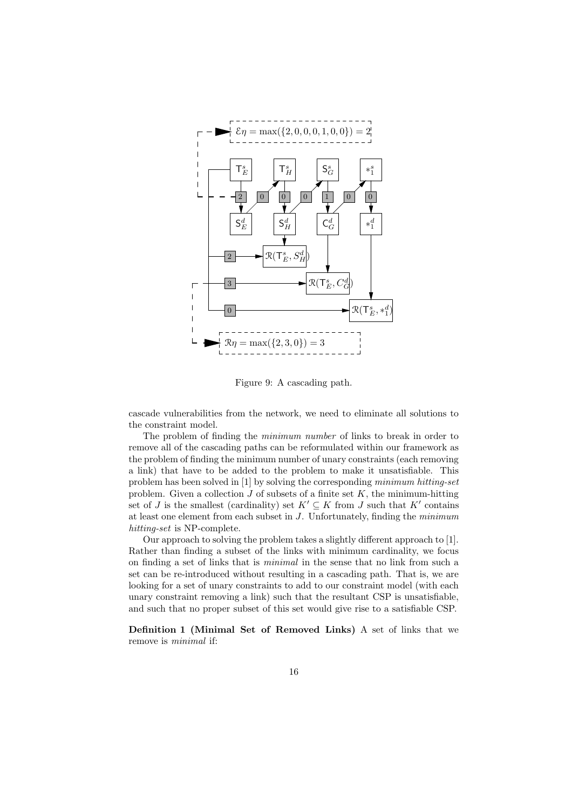

Figure 9: A cascading path.

cascade vulnerabilities from the network, we need to eliminate all solutions to the constraint model.

The problem of finding the minimum number of links to break in order to remove all of the cascading paths can be reformulated within our framework as the problem of finding the minimum number of unary constraints (each removing a link) that have to be added to the problem to make it unsatisfiable. This problem has been solved in [1] by solving the corresponding minimum hitting-set problem. Given a collection  $J$  of subsets of a finite set  $K$ , the minimum-hitting set of J is the smallest (cardinality) set  $K' \subseteq K$  from J such that K' contains at least one element from each subset in  $J$ . Unfortunately, finding the *minimum* hitting-set is NP-complete.

Our approach to solving the problem takes a slightly different approach to [1]. Rather than finding a subset of the links with minimum cardinality, we focus on finding a set of links that is minimal in the sense that no link from such a set can be re-introduced without resulting in a cascading path. That is, we are looking for a set of unary constraints to add to our constraint model (with each unary constraint removing a link) such that the resultant CSP is unsatisfiable, and such that no proper subset of this set would give rise to a satisfiable CSP.

Definition 1 (Minimal Set of Removed Links) A set of links that we remove is minimal if: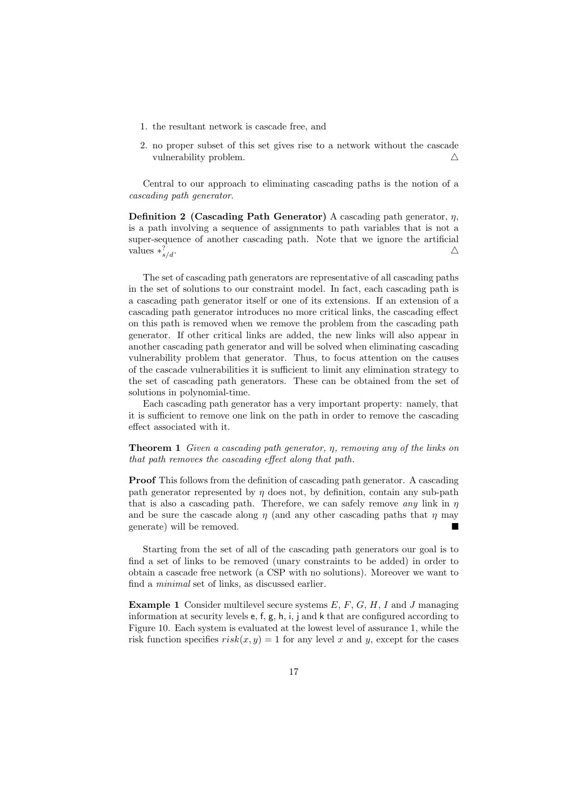- 1. the resultant network is cascade free, and
- 2. no proper subset of this set gives rise to a network without the cascade vulnerability problem.  $\triangle$

Central to our approach to eliminating cascading paths is the notion of a cascading path generator.

Definition 2 (Cascading Path Generator) A cascading path generator,  $\eta$ , is a path involving a sequence of assignments to path variables that is not a super-sequence of another cascading path. Note that we ignore the artificial values ∗ ?  $\Delta$ s/d.  $\Delta$ 

The set of cascading path generators are representative of all cascading paths in the set of solutions to our constraint model. In fact, each cascading path is a cascading path generator itself or one of its extensions. If an extension of a cascading path generator introduces no more critical links, the cascading effect on this path is removed when we remove the problem from the cascading path generator. If other critical links are added, the new links will also appear in another cascading path generator and will be solved when eliminating cascading vulnerability problem that generator. Thus, to focus attention on the causes of the cascade vulnerabilities it is sufficient to limit any elimination strategy to the set of cascading path generators. These can be obtained from the set of solutions in polynomial-time.

Each cascading path generator has a very important property: namely, that it is sufficient to remove one link on the path in order to remove the cascading effect associated with it.

Theorem 1 Given a cascading path generator, n, removing any of the links on that path removes the cascading effect along that path.

Proof This follows from the definition of cascading path generator. A cascading path generator represented by  $\eta$  does not, by definition, contain any sub-path that is also a cascading path. Therefore, we can safely remove any link in  $\eta$ and be sure the cascade along  $\eta$  (and any other cascading paths that  $\eta$  may generate) will be removed.

Starting from the set of all of the cascading path generators our goal is to find a set of links to be removed (unary constraints to be added) in order to obtain a cascade free network (a CSP with no solutions). Moreover we want to find a minimal set of links, as discussed earlier.

**Example 1** Consider multilevel secure systems  $E, F, G, H, I$  and J managing information at security levels e, f, g, h, i, j and k that are configured according to Figure 10. Each system is evaluated at the lowest level of assurance 1, while the risk function specifies  $risk(x, y) = 1$  for any level x and y, except for the cases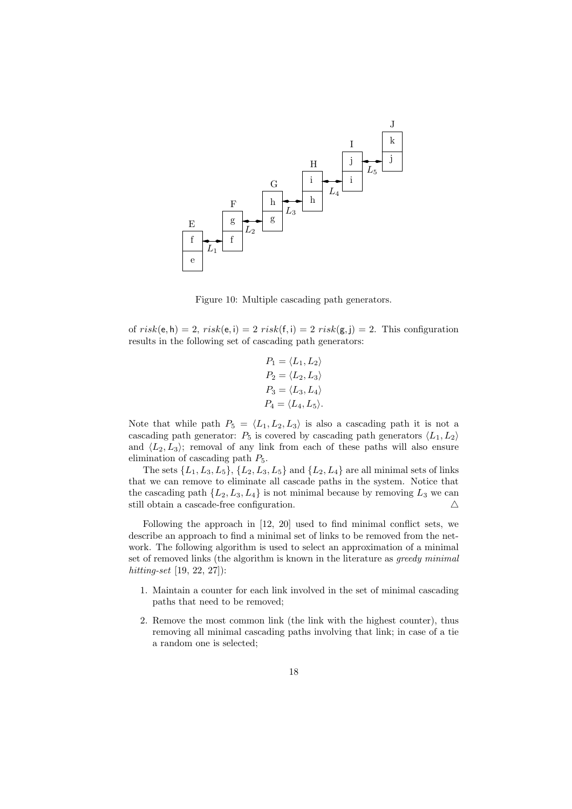

Figure 10: Multiple cascading path generators.

of  $risk(e, h) = 2$ ,  $risk(e, i) = 2$   $risk(f, i) = 2$   $risk(g, j) = 2$ . This configuration results in the following set of cascading path generators:

> $P_1 = \langle L_1,L_2 \rangle$  $P_2 = \langle L_2,L_3 \rangle$  $P_3 = \langle L_3,L_4 \rangle$  $P_4 = \langle L_4,L_5 \rangle.$

Note that while path  $P_5 = \langle L_1, L_2, L_3 \rangle$  is also a cascading path it is not a cascading path generator:  $P_5$  is covered by cascading path generators  $\langle L_1, L_2 \rangle$ and  $\langle L_2,L_3\rangle$ ; removal of any link from each of these paths will also ensure elimination of cascading path  $P_5$ .

The sets  $\{L_1, L_3, L_5\}$ ,  $\{L_2, L_3, L_5\}$  and  $\{L_2, L_4\}$  are all minimal sets of links that we can remove to eliminate all cascade paths in the system. Notice that the cascading path  $\{L_2, L_3, L_4\}$  is not minimal because by removing  $L_3$  we can still obtain a cascade-free configuration.  $\Delta$ 

Following the approach in [12, 20] used to find minimal conflict sets, we describe an approach to find a minimal set of links to be removed from the network. The following algorithm is used to select an approximation of a minimal set of removed links (the algorithm is known in the literature as greedy minimal hitting-set [19, 22, 27]):

- 1. Maintain a counter for each link involved in the set of minimal cascading paths that need to be removed;
- 2. Remove the most common link (the link with the highest counter), thus removing all minimal cascading paths involving that link; in case of a tie a random one is selected;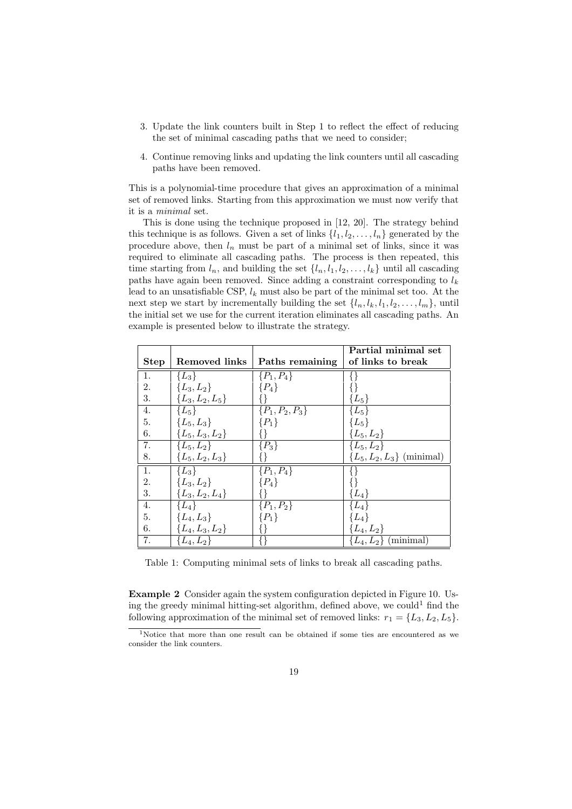- 3. Update the link counters built in Step 1 to reflect the effect of reducing the set of minimal cascading paths that we need to consider;
- 4. Continue removing links and updating the link counters until all cascading paths have been removed.

This is a polynomial-time procedure that gives an approximation of a minimal set of removed links. Starting from this approximation we must now verify that it is a minimal set.

This is done using the technique proposed in [12, 20]. The strategy behind this technique is as follows. Given a set of links  $\{l_1, l_2, \ldots, l_n\}$  generated by the procedure above, then  $l_n$  must be part of a minimal set of links, since it was required to eliminate all cascading paths. The process is then repeated, this time starting from  $l_n$ , and building the set  $\{l_n, l_1, l_2, \ldots, l_k\}$  until all cascading paths have again been removed. Since adding a constraint corresponding to  $l_k$ lead to an unsatisfiable CSP,  $l_k$  must also be part of the minimal set too. At the next step we start by incrementally building the set  $\{l_n, l_k, l_1, l_2, \ldots, l_m\}$ , until the initial set we use for the current iteration eliminates all cascading paths. An example is presented below to illustrate the strategy.

|             |                    |                          | Partial minimal set         |
|-------------|--------------------|--------------------------|-----------------------------|
| <b>Step</b> | Removed links      | Paths remaining          | of links to break           |
| 1.          | $\{L_3\}$          | $\{P_1,\overline{P_4}\}$ |                             |
| 2.          | ${L_3, L_2}$       | $\{P_4\}$                |                             |
| 3.          | ${L_3, L_2, L_5}$  |                          | ${L_5}$                     |
| 4.          | ${L_5}$            | $\{P_1, P_2, P_3\}$      | $\{L_5\}$                   |
| 5.          | ${L_5, L_3}$       | $\{P_1\}$                | ${L_5}$                     |
| 6.          | ${L_5, L_3, L_2}$  |                          | ${L_5, L_2}$                |
| 7.          | ${L_5, L_2}$       | $\{P_3\}$                | ${L_5, L_2}$                |
| 8.          | ${L_5, L_2, L_3}$  |                          | ${L_5, L_2, L_3}$ (minimal) |
| 1.          | ${L_3}$            | $\{P_1, P_4\}$           |                             |
| 2.          | ${L_3, L_2}$       | $\{P_4\}$                |                             |
| 3.          | ${L_3, L_2, L_4}$  |                          | $\{L_4\}$                   |
| 4.          | ${L_4}$            | $\{P_1, P_2\}$           | ${L_4}$                     |
| 5.          | ${L_4, L_3}$       | $\{P_1\}$                | ${L_4}$                     |
| 6.          | ${L_4, L_3, L_2}$  |                          | ${L_4, L_2}$                |
| 7.          | $\{L_{4}, L_{2}\}$ |                          | $\{L_4, L_2\}$ (minimal)    |

Table 1: Computing minimal sets of links to break all cascading paths.

Example 2 Consider again the system configuration depicted in Figure 10. Using the greedy minimal hitting-set algorithm, defined above, we could<sup>1</sup> find the following approximation of the minimal set of removed links:  $r_1 = \{L_3, L_2, L_5\}.$ 

<sup>1</sup>Notice that more than one result can be obtained if some ties are encountered as we consider the link counters.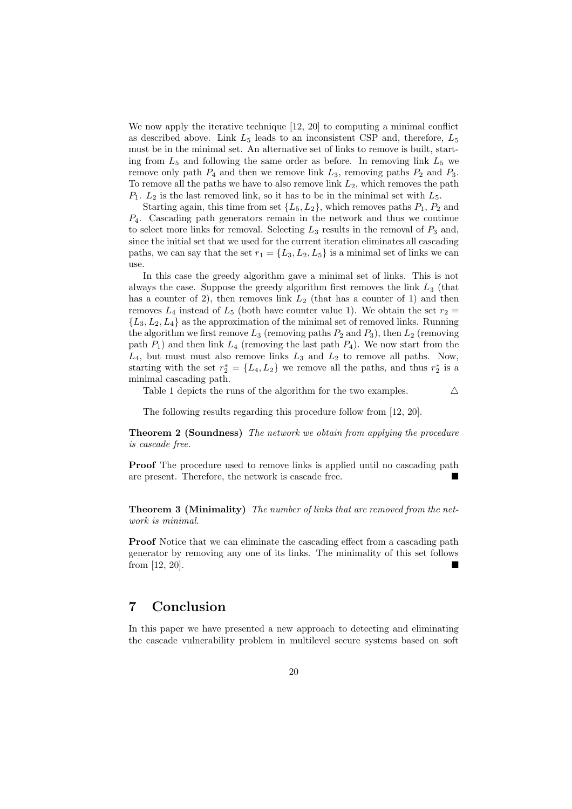We now apply the iterative technique [12, 20] to computing a minimal conflict as described above. Link  $L_5$  leads to an inconsistent CSP and, therefore,  $L_5$ must be in the minimal set. An alternative set of links to remove is built, starting from  $L_5$  and following the same order as before. In removing link  $L_5$  we remove only path  $P_4$  and then we remove link  $L_3$ , removing paths  $P_2$  and  $P_3$ . To remove all the paths we have to also remove link  $L_2$ , which removes the path  $P_1$ .  $L_2$  is the last removed link, so it has to be in the minimal set with  $L_5$ .

Starting again, this time from set  $\{L_5, L_2\}$ , which removes paths  $P_1, P_2$  and  $P_4$ . Cascading path generators remain in the network and thus we continue to select more links for removal. Selecting  $L_3$  results in the removal of  $P_3$  and, since the initial set that we used for the current iteration eliminates all cascading paths, we can say that the set  $r_1 = \{L_3, L_2, L_5\}$  is a minimal set of links we can use.

In this case the greedy algorithm gave a minimal set of links. This is not always the case. Suppose the greedy algorithm first removes the link  $L_3$  (that has a counter of 2), then removes link  $L_2$  (that has a counter of 1) and then removes  $L_4$  instead of  $L_5$  (both have counter value 1). We obtain the set  $r_2 =$  ${L_3, L_2, L_4}$  as the approximation of the minimal set of removed links. Running the algorithm we first remove  $L_3$  (removing paths  $P_2$  and  $P_3$ ), then  $L_2$  (removing path  $P_1$ ) and then link  $L_4$  (removing the last path  $P_4$ ). We now start from the  $L_4$ , but must must also remove links  $L_3$  and  $L_2$  to remove all paths. Now, starting with the set  $r_2^* = \{L_4, L_2\}$  we remove all the paths, and thus  $r_2^*$  is a minimal cascading path.

Table 1 depicts the runs of the algorithm for the two examples.  $\Delta$ 

The following results regarding this procedure follow from [12, 20].

Theorem 2 (Soundness) The network we obtain from applying the procedure is cascade free.

Proof The procedure used to remove links is applied until no cascading path are present. Therefore, the network is cascade free.

Theorem 3 (Minimality) The number of links that are removed from the network is minimal.

Proof Notice that we can eliminate the cascading effect from a cascading path generator by removing any one of its links. The minimality of this set follows from  $[12, 20]$ .

# 7 Conclusion

In this paper we have presented a new approach to detecting and eliminating the cascade vulnerability problem in multilevel secure systems based on soft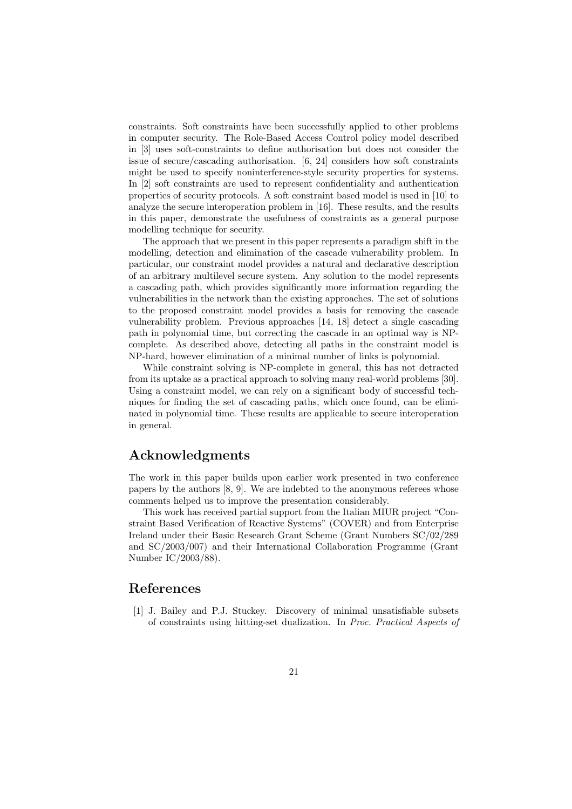constraints. Soft constraints have been successfully applied to other problems in computer security. The Role-Based Access Control policy model described in [3] uses soft-constraints to define authorisation but does not consider the issue of secure/cascading authorisation. [6, 24] considers how soft constraints might be used to specify noninterference-style security properties for systems. In [2] soft constraints are used to represent confidentiality and authentication properties of security protocols. A soft constraint based model is used in [10] to analyze the secure interoperation problem in [16]. These results, and the results in this paper, demonstrate the usefulness of constraints as a general purpose modelling technique for security.

The approach that we present in this paper represents a paradigm shift in the modelling, detection and elimination of the cascade vulnerability problem. In particular, our constraint model provides a natural and declarative description of an arbitrary multilevel secure system. Any solution to the model represents a cascading path, which provides significantly more information regarding the vulnerabilities in the network than the existing approaches. The set of solutions to the proposed constraint model provides a basis for removing the cascade vulnerability problem. Previous approaches [14, 18] detect a single cascading path in polynomial time, but correcting the cascade in an optimal way is NPcomplete. As described above, detecting all paths in the constraint model is NP-hard, however elimination of a minimal number of links is polynomial.

While constraint solving is NP-complete in general, this has not detracted from its uptake as a practical approach to solving many real-world problems [30]. Using a constraint model, we can rely on a significant body of successful techniques for finding the set of cascading paths, which once found, can be eliminated in polynomial time. These results are applicable to secure interoperation in general.

## Acknowledgments

The work in this paper builds upon earlier work presented in two conference papers by the authors [8, 9]. We are indebted to the anonymous referees whose comments helped us to improve the presentation considerably.

This work has received partial support from the Italian MIUR project "Constraint Based Verification of Reactive Systems" (COVER) and from Enterprise Ireland under their Basic Research Grant Scheme (Grant Numbers SC/02/289 and SC/2003/007) and their International Collaboration Programme (Grant Number IC/2003/88).

# References

[1] J. Bailey and P.J. Stuckey. Discovery of minimal unsatisfiable subsets of constraints using hitting-set dualization. In Proc. Practical Aspects of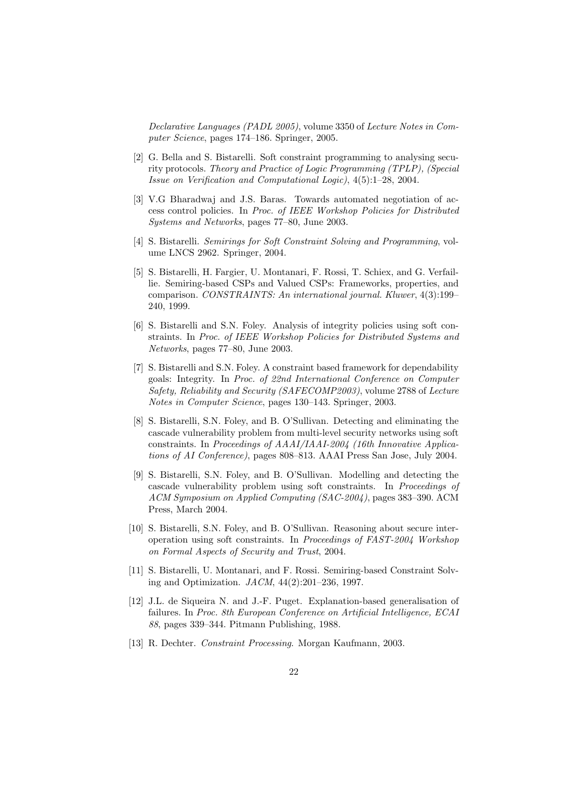Declarative Languages (PADL 2005), volume 3350 of Lecture Notes in Computer Science, pages 174–186. Springer, 2005.

- [2] G. Bella and S. Bistarelli. Soft constraint programming to analysing security protocols. Theory and Practice of Logic Programming (TPLP), (Special Issue on Verification and Computational Logic), 4(5):1–28, 2004.
- [3] V.G Bharadwaj and J.S. Baras. Towards automated negotiation of access control policies. In Proc. of IEEE Workshop Policies for Distributed Systems and Networks, pages 77–80, June 2003.
- [4] S. Bistarelli. Semirings for Soft Constraint Solving and Programming, volume LNCS 2962. Springer, 2004.
- [5] S. Bistarelli, H. Fargier, U. Montanari, F. Rossi, T. Schiex, and G. Verfaillie. Semiring-based CSPs and Valued CSPs: Frameworks, properties, and comparison. CONSTRAINTS: An international journal. Kluwer, 4(3):199– 240, 1999.
- [6] S. Bistarelli and S.N. Foley. Analysis of integrity policies using soft constraints. In Proc. of IEEE Workshop Policies for Distributed Systems and Networks, pages 77–80, June 2003.
- [7] S. Bistarelli and S.N. Foley. A constraint based framework for dependability goals: Integrity. In Proc. of 22nd International Conference on Computer Safety, Reliability and Security (SAFECOMP2003), volume 2788 of Lecture Notes in Computer Science, pages 130–143. Springer, 2003.
- [8] S. Bistarelli, S.N. Foley, and B. O'Sullivan. Detecting and eliminating the cascade vulnerability problem from multi-level security networks using soft constraints. In Proceedings of AAAI/IAAI-2004 (16th Innovative Applications of AI Conference), pages 808–813. AAAI Press San Jose, July 2004.
- [9] S. Bistarelli, S.N. Foley, and B. O'Sullivan. Modelling and detecting the cascade vulnerability problem using soft constraints. In Proceedings of ACM Symposium on Applied Computing (SAC-2004), pages 383–390. ACM Press, March 2004.
- [10] S. Bistarelli, S.N. Foley, and B. O'Sullivan. Reasoning about secure interoperation using soft constraints. In Proceedings of FAST-2004 Workshop on Formal Aspects of Security and Trust, 2004.
- [11] S. Bistarelli, U. Montanari, and F. Rossi. Semiring-based Constraint Solving and Optimization. JACM, 44(2):201–236, 1997.
- [12] J.L. de Siqueira N. and J.-F. Puget. Explanation-based generalisation of failures. In Proc. 8th European Conference on Artificial Intelligence, ECAI 88, pages 339–344. Pitmann Publishing, 1988.
- [13] R. Dechter. Constraint Processing. Morgan Kaufmann, 2003.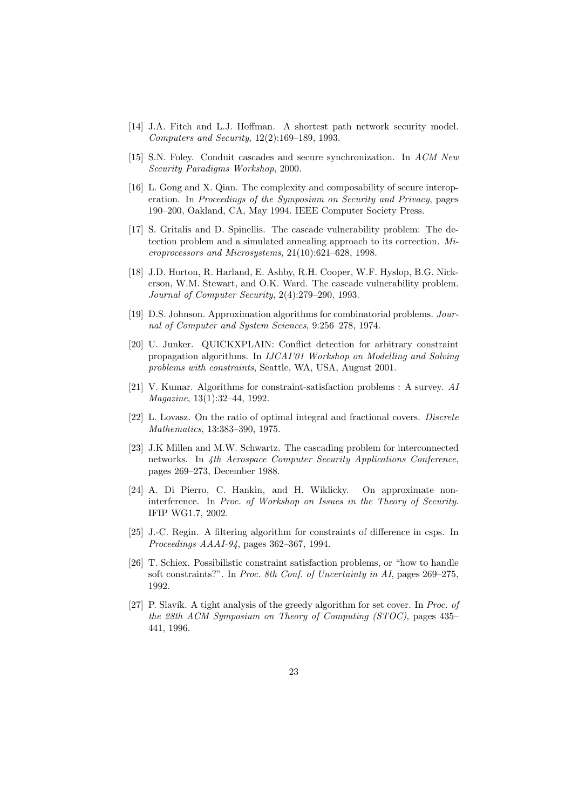- [14] J.A. Fitch and L.J. Hoffman. A shortest path network security model. Computers and Security, 12(2):169–189, 1993.
- [15] S.N. Foley. Conduit cascades and secure synchronization. In ACM New Security Paradigms Workshop, 2000.
- [16] L. Gong and X. Qian. The complexity and composability of secure interoperation. In Proceedings of the Symposium on Security and Privacy, pages 190–200, Oakland, CA, May 1994. IEEE Computer Society Press.
- [17] S. Gritalis and D. Spinellis. The cascade vulnerability problem: The detection problem and a simulated annealing approach to its correction. Microprocessors and Microsystems, 21(10):621–628, 1998.
- [18] J.D. Horton, R. Harland, E. Ashby, R.H. Cooper, W.F. Hyslop, B.G. Nickerson, W.M. Stewart, and O.K. Ward. The cascade vulnerability problem. Journal of Computer Security, 2(4):279–290, 1993.
- [19] D.S. Johnson. Approximation algorithms for combinatorial problems. Journal of Computer and System Sciences, 9:256–278, 1974.
- [20] U. Junker. QUICKXPLAIN: Conflict detection for arbitrary constraint propagation algorithms. In IJCAI'01 Workshop on Modelling and Solving problems with constraints, Seattle, WA, USA, August 2001.
- [21] V. Kumar. Algorithms for constraint-satisfaction problems : A survey. AI Magazine, 13(1):32–44, 1992.
- [22] L. Lovasz. On the ratio of optimal integral and fractional covers. Discrete Mathematics, 13:383–390, 1975.
- [23] J.K Millen and M.W. Schwartz. The cascading problem for interconnected networks. In 4th Aerospace Computer Security Applications Conference, pages 269–273, December 1988.
- [24] A. Di Pierro, C. Hankin, and H. Wiklicky. On approximate noninterference. In Proc. of Workshop on Issues in the Theory of Security. IFIP WG1.7, 2002.
- [25] J.-C. Regin. A filtering algorithm for constraints of difference in csps. In Proceedings AAAI-94, pages 362–367, 1994.
- [26] T. Schiex. Possibilistic constraint satisfaction problems, or "how to handle soft constraints?". In Proc. 8th Conf. of Uncertainty in AI, pages 269–275, 1992.
- [27] P. Slavík. A tight analysis of the greedy algorithm for set cover. In Proc. of the 28th ACM Symposium on Theory of Computing (STOC), pages 435– 441, 1996.